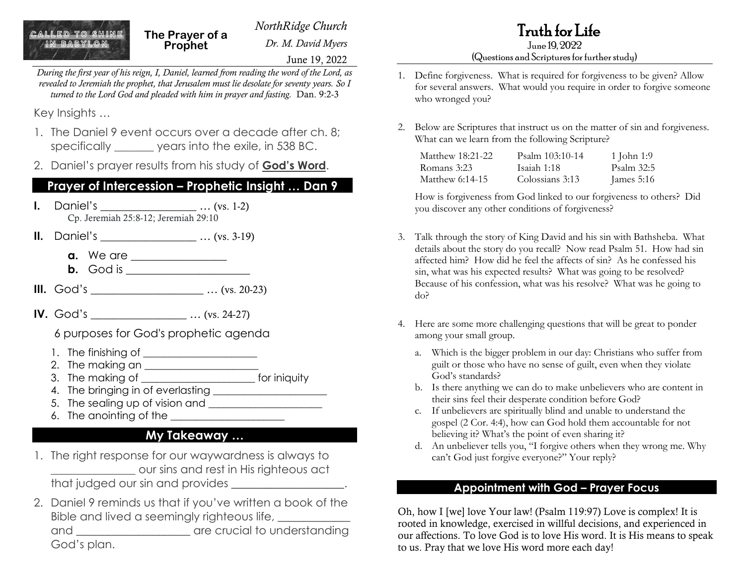June 19, 2022

Truth for Life June 19, 2022

#### (Questions and Scriptures for further study)

- 1. Define forgiveness. What is required for forgiveness to be given? Allow for several answers. What would you require in order to forgive someone who wronged you?
- 2. Below are Scriptures that instruct us on the matter of sin and forgiveness. What can we learn from the following Scripture?

| Matthew 18:21-22 | Psalm 103:10-14 | 1 John 1:9   |
|------------------|-----------------|--------------|
| Romans 3:23      | Isaiah 1:18     | Psalm 32:5   |
| Matthew 6:14-15  | Colossians 3:13 | James $5:16$ |

How is forgiveness from God linked to our forgiveness to others? Did you discover any other conditions of forgiveness?

- 3. Talk through the story of King David and his sin with Bathsheba. What details about the story do you recall? Now read Psalm 51. How had sin affected him? How did he feel the affects of sin? As he confessed his sin, what was his expected results? What was going to be resolved? Because of his confession, what was his resolve? What was he going to do?
- 4. Here are some more challenging questions that will be great to ponder among your small group.
	- a. Which is the bigger problem in our day: Christians who suffer from guilt or those who have no sense of guilt, even when they violate God's standards?
	- b. Is there anything we can do to make unbelievers who are content in their sins feel their desperate condition before God?
	- c. If unbelievers are spiritually blind and unable to understand the gospel (2 Cor. 4:4), how can God hold them accountable for not believing it? What's the point of even sharing it?
	- d. An unbeliever tells you, "I forgive others when they wrong me. Why can't God just forgive everyone?" Your reply?

#### **Appointment with God – Prayer Focus**

Oh, how I [we] love Your law! (Psalm 119:97) Love is complex! It is rooted in knowledge, exercised in willful decisions, and experienced in our affections. To love God is to love His word. It is His means to speak to us. Pray that we love His word more each day!

Key Insights …

1. The Daniel 9 event occurs over a decade after ch. 8; specifically years into the exile, in 538 BC.

*During the first year of his reign, I, Daniel, learned from reading the word of the Lord, as revealed to Jeremiah the prophet, that Jerusalem must lie desolate for seventy years. So I turned to the Lord God and pleaded with him in prayer and fasting.* Dan. 9:2-3

2. Daniel's prayer results from his study of **God's Word**.

## **Prayer of Intercession – Prophetic Insight … Dan 9**

- **I.** Daniel's \_\_\_\_\_\_\_\_\_\_\_\_\_\_\_\_\_\_\_\_ ... (vs. 1-2) Cp. Jeremiah 25:8-12; Jeremiah 29:10
- **II.** Daniel's \_\_\_\_\_\_\_\_\_\_\_\_\_\_\_\_\_ … (vs. 3-19)
	- **a.** We are \_\_\_\_\_\_\_\_\_\_\_\_\_\_\_\_\_
	- **b.** God is \_\_\_\_\_\_\_\_\_\_\_\_\_\_\_\_\_\_\_\_
- **III.** God's  $...$  (vs. 20-23)
- **IV.** God's ... (vs. 24-27)

6 purposes for God's prophetic agenda

- 1. The finishing of \_\_\_\_\_\_\_\_\_\_\_\_\_\_\_\_\_\_\_\_\_\_
- 2. The making an \_\_\_\_\_\_\_\_\_\_\_\_\_\_\_\_\_\_\_\_\_\_
- 3. The making of \_\_\_\_\_\_\_\_\_\_\_\_\_\_\_\_\_\_\_\_\_\_ for iniquity
- 4. The bringing in of everlasting \_\_\_\_\_\_\_\_\_\_\_\_\_\_\_\_\_\_\_\_\_\_
- 5. The sealing up of vision and \_\_\_\_\_\_\_\_\_\_\_\_\_\_\_\_\_\_\_\_\_\_
- 6. The anointing of the  $\frac{1}{2}$

## **My Takeaway …**

- 1. The right response for our waywardness is always to \_\_\_\_\_\_\_\_\_\_\_\_\_\_\_ our sins and rest in His righteous act that judged our sin and provides \_\_\_\_\_\_\_\_\_\_\_\_\_\_\_\_\_\_\_\_.
- 2. Daniel 9 reminds us that if you've written a book of the Bible and lived a seemingly righteous life, and \_\_\_\_\_\_\_\_\_\_\_\_\_\_\_\_\_\_\_\_\_\_\_ are crucial to understanding God's plan.